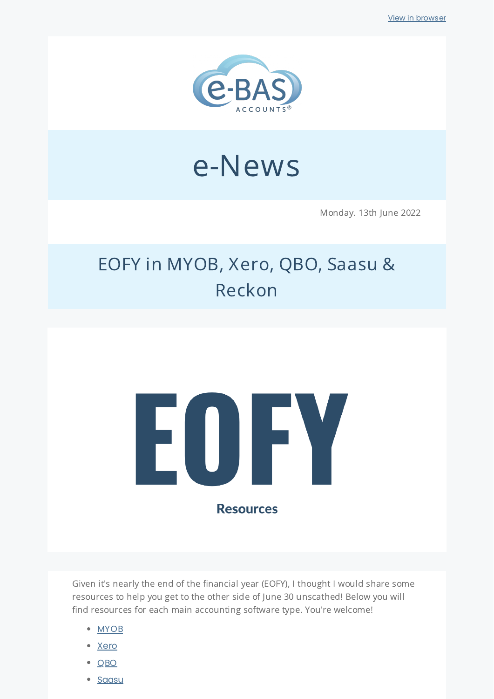

# e-News

Monday. 13th June 2022

## EOFY in MYOB, Xero, QBO, Saasu & Reckon



Given it's nearly the end of the financial year (EOFY), I thought I would share some resources to help you get to the other side of June 30 unscathed! Below you will find resources for each main accounting software type. You're welcome!

- [MYOB](https://help.myob.com/wiki/display/ar/End+of+financial+year+tasks#expand-Australia)
- [Xero](https://www.xero.com/au/initiative/end-of-financial-year/resources-small-business/)
- [QBO](https://quickbooks.intuit.com/au/blog/product-update/end-financial-year-using-quickbooks-online/)
- [Saasu](https://www.saasu.com/help/financial-year-end/)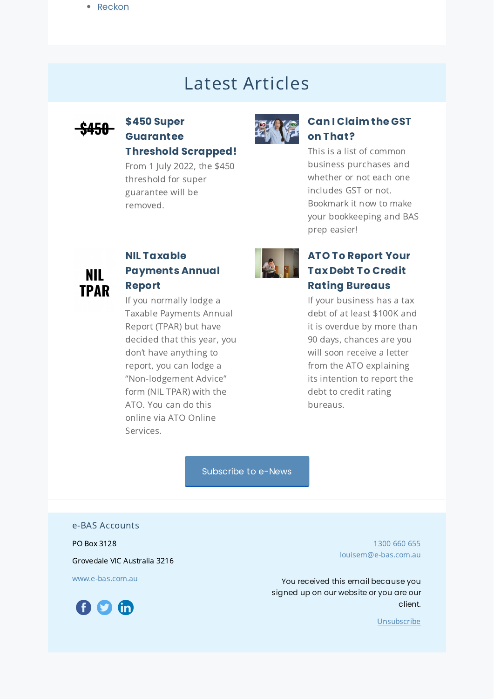### Latest Articles



#### **\$450 Super [Guarantee](https://www.e-bas.com.au/450-super-guarantee-threshold-scrapped/) Threshold Scrapped!**

From 1 July 2022, the \$450 threshold for super guarantee will be removed.



#### **Can I [Claim](https://www.e-bas.com.au/can-i-claim-the-gst-on-that/) the GST on That?**

This is a list of common business purchases and whether or not each one includes GST or not. Bookmark it now to make your bookkeeping and BAS prep easier!



#### **NIL Taxable [Payments](https://www.e-bas.com.au/how-to-lodge-a-tpar-non-lodgement-advice-form-nil-tpar/) Annual Report**

If you normally lodge a Taxable Payments Annual Report (TPAR) but have decided that this year, you don't have anything to report, you can lodge a "Non-lodgement Advice" form (NIL TPAR) with the ATO. You can do this online via ATO Online Services.



#### **ATO To Report Your Tax Debt To Credit Rating [Bureaus](https://bit.ly/3M9ccup)**

If your business has a tax debt of at least \$100K and it is overdue by more than 90 days, chances are you will soon receive a letter from the ATO explaining its intention to report the debt to credit rating bureaus.

[Subscribe](https://landing.mailerlite.com/webforms/landing/v8m1z3) to e-News

e-BAS Accounts

PO Box 3128

Grovedale VIC Australia 3216

[www.e-bas.com.au](https://www.e-bas.com.au/)



[1300](tel:1300 660 655) 660 655 [louisem@e-bas.com.au](mailto:louisem@e-bas.com.au)

You received this email because you signed up on our website or you are our client.

[Unsubscribe](http://localhost:3000/decode_hex/68747470733a2f2f707265766965772e6d61696c65726c6974652e636f6d2f6c326b38763877386935)